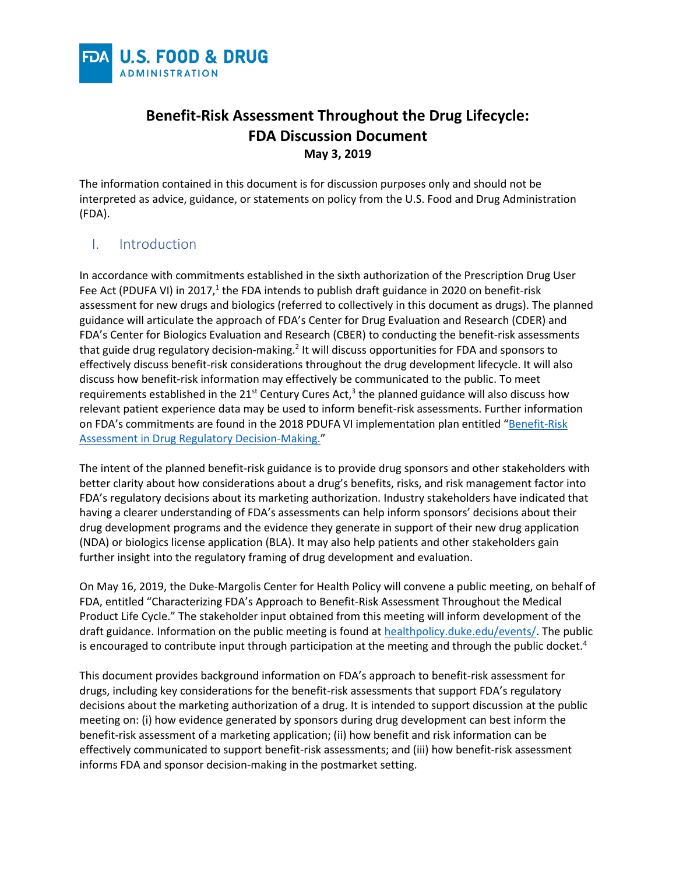

# **Benefit-Risk Assessment Throughout the Drug Lifecycle: FDA Discussion Document May 3, 2019**

The information contained in this document is for discussion purposes only and should not be interpreted as advice, guidance, or statements on policy from the U.S. Food and Drug Administration (FDA).

### I. Introduction

In accordance with commitments established in the sixth authorization of the Prescription Drug User Fee Act (PDUFA VI) in 2017,<sup>1</sup> the FDA intends to publish draft guidance in 2020 on benefit-risk assessment for new drugs and biologics (referred to collectively in this document as drugs). The planned guidance will articulate the approach of FDA's Center for Drug Evaluation and Research (CDER) and FDA's Center for Biologics Evaluation and Research (CBER) to conducting the benefit-risk assessments that guide drug regulatory decision-making.<sup>2</sup> It will discuss opportunities for FDA and sponsors to effectively discuss benefit-risk considerations throughout the drug development lifecycle. It will also discuss how benefit-risk information may effectively be communicated to the public. To meet requirements established in the 21<sup>st</sup> Century Cures Act,<sup>3</sup> the planned guidance will also discuss how relevant patient experience data may be used to inform benefit-risk assessments. Further information on FDA's commitments are found in the 2018 PDUFA VI implementation plan entitled "Benefit-Risk [Assessment in Drug Regulatory Decision-Making.](https://www.fda.gov/downloads/ForIndustry/UserFees/PrescriptionDrugUserFee/UCM602885.pdf)"

The intent of the planned benefit-risk guidance is to provide drug sponsors and other stakeholders with better clarity about how considerations about a drug's benefits, risks, and risk management factor into FDA's regulatory decisions about its marketing authorization. Industry stakeholders have indicated that having a clearer understanding of FDA's assessments can help inform sponsors' decisions about their drug development programs and the evidence they generate in support of their new drug application (NDA) or biologics license application (BLA). It may also help patients and other stakeholders gain further insight into the regulatory framing of drug development and evaluation.

On May 16, 2019, the Duke-Margolis Center for Health Policy will convene a public meeting, on behalf of FDA, entitled "Characterizing FDA's Approach to Benefit-Risk Assessment Throughout the Medical Product Life Cycle." The stakeholder input obtained from this meeting will inform development of the draft guidance. Information on the public meeting is found at [healthpolicy.duke.edu/events/.](https://healthpolicy.duke.edu/events/benefit-risk-framework-public-workshop) The public is encouraged to contribute input through participation at the meeting and through the public docket.<sup>4</sup>

This document provides background information on FDA's approach to benefit-risk assessment for drugs, including key considerations for the benefit-risk assessments that support FDA's regulatory decisions about the marketing authorization of a drug. It is intended to support discussion at the public meeting on: (i) how evidence generated by sponsors during drug development can best inform the benefit-risk assessment of a marketing application; (ii) how benefit and risk information can be effectively communicated to support benefit-risk assessments; and (iii) how benefit-risk assessment informs FDA and sponsor decision-making in the postmarket setting.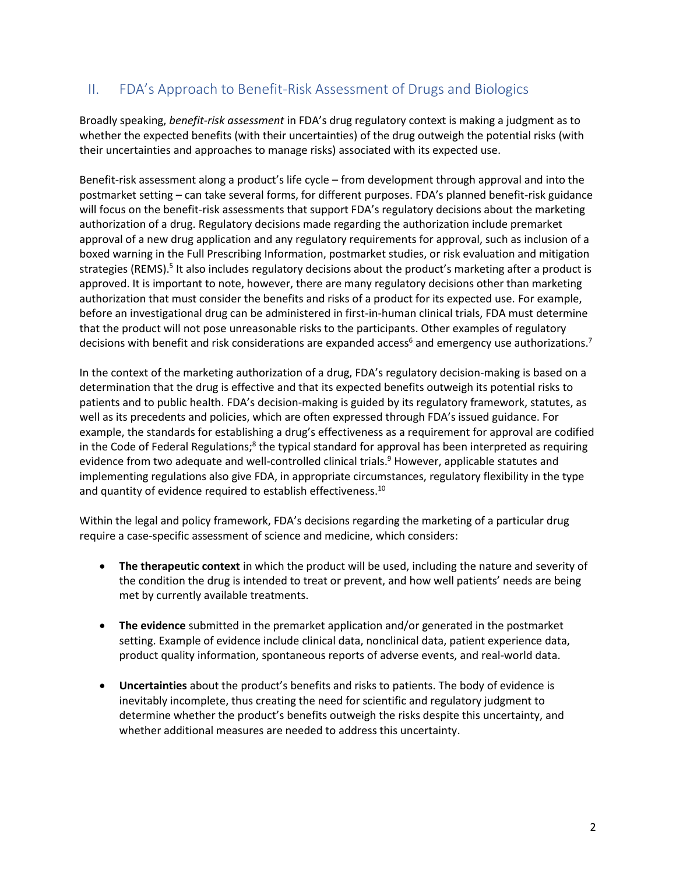## II. FDA's Approach to Benefit-Risk Assessment of Drugs and Biologics

Broadly speaking, *benefit-risk assessment* in FDA's drug regulatory context is making a judgment as to whether the expected benefits (with their uncertainties) of the drug outweigh the potential risks (with their uncertainties and approaches to manage risks) associated with its expected use.

Benefit-risk assessment along a product's life cycle – from development through approval and into the postmarket setting – can take several forms, for different purposes. FDA's planned benefit-risk guidance will focus on the benefit-risk assessments that support FDA's regulatory decisions about the marketing authorization of a drug. Regulatory decisions made regarding the authorization include premarket approval of a new drug application and any regulatory requirements for approval, such as inclusion of a boxed warning in the Full Prescribing Information, postmarket studies, or risk evaluation and mitigation strategies (REMS).<sup>5</sup> It also includes regulatory decisions about the product's marketing after a product is approved. It is important to note, however, there are many regulatory decisions other than marketing authorization that must consider the benefits and risks of a product for its expected use. For example, before an investigational drug can be administered in first-in-human clinical trials, FDA must determine that the product will not pose unreasonable risks to the participants. Other examples of regulatory decisions with benefit and risk considerations are expanded access<sup>6</sup> and emergency use authorizations.<sup>7</sup>

In the context of the marketing authorization of a drug, FDA's regulatory decision-making is based on a determination that the drug is effective and that its expected benefits outweigh its potential risks to patients and to public health. FDA's decision-making is guided by its regulatory framework, statutes, as well as its precedents and policies, which are often expressed through FDA's issued guidance. For example, the standards for establishing a drug's effectiveness as a requirement for approval are codified in the Code of Federal Regulations;<sup>8</sup> the typical standard for approval has been interpreted as requiring evidence from two adequate and well-controlled clinical trials.<sup>9</sup> However, applicable statutes and implementing regulations also give FDA, in appropriate circumstances, regulatory flexibility in the type and quantity of evidence required to establish effectiveness.<sup>10</sup>

Within the legal and policy framework, FDA's decisions regarding the marketing of a particular drug require a case-specific assessment of science and medicine, which considers:

- **The therapeutic context** in which the product will be used, including the nature and severity of the condition the drug is intended to treat or prevent, and how well patients' needs are being met by currently available treatments.
- **The evidence** submitted in the premarket application and/or generated in the postmarket setting. Example of evidence include clinical data, nonclinical data, patient experience data, product quality information, spontaneous reports of adverse events, and real-world data.
- **Uncertainties** about the product's benefits and risks to patients. The body of evidence is inevitably incomplete, thus creating the need for scientific and regulatory judgment to determine whether the product's benefits outweigh the risks despite this uncertainty, and whether additional measures are needed to address this uncertainty.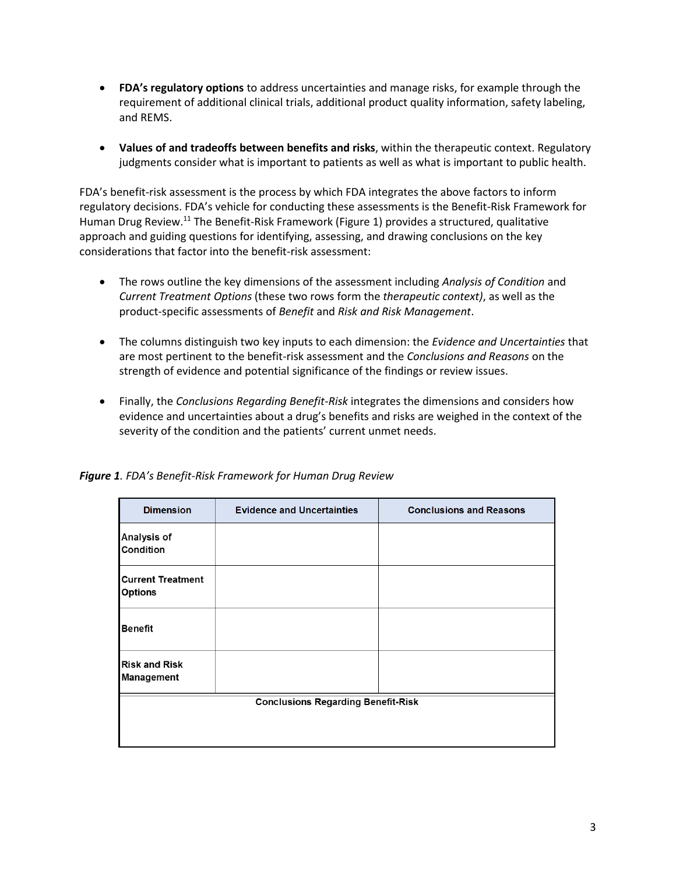- **FDA's regulatory options** to address uncertainties and manage risks, for example through the requirement of additional clinical trials, additional product quality information, safety labeling, and REMS.
- **Values of and tradeoffs between benefits and risks**, within the therapeutic context. Regulatory judgments consider what is important to patients as well as what is important to public health.

FDA's benefit-risk assessment is the process by which FDA integrates the above factors to inform regulatory decisions. FDA's vehicle for conducting these assessments is the Benefit-Risk Framework for Human Drug Review.<sup>11</sup> The Benefit-Risk Framework (Figure 1) provides a structured, qualitative approach and guiding questions for identifying, assessing, and drawing conclusions on the key considerations that factor into the benefit-risk assessment:

- The rows outline the key dimensions of the assessment including *Analysis of Condition* and *Current Treatment Options* (these two rows form the *therapeutic context)*, as well as the product-specific assessments of *Benefit* and *Risk and Risk Management*.
- The columns distinguish two key inputs to each dimension: the *Evidence and Uncertainties* that are most pertinent to the benefit-risk assessment and the *Conclusions and Reasons* on the strength of evidence and potential significance of the findings or review issues.
- Finally, the *Conclusions Regarding Benefit-Risk* integrates the dimensions and considers how evidence and uncertainties about a drug's benefits and risks are weighed in the context of the severity of the condition and the patients' current unmet needs.

| <b>Dimension</b>                           | <b>Evidence and Uncertainties</b> | <b>Conclusions and Reasons</b> |  |  |  |
|--------------------------------------------|-----------------------------------|--------------------------------|--|--|--|
| Analysis of<br>Condition                   |                                   |                                |  |  |  |
| <b>Current Treatment</b><br><b>Options</b> |                                   |                                |  |  |  |
| <b>Benefit</b>                             |                                   |                                |  |  |  |
| <b>Risk and Risk</b><br><b>Management</b>  |                                   |                                |  |  |  |
| <b>Conclusions Regarding Benefit-Risk</b>  |                                   |                                |  |  |  |
|                                            |                                   |                                |  |  |  |
|                                            |                                   |                                |  |  |  |

*Figure 1. FDA's Benefit-Risk Framework for Human Drug Review*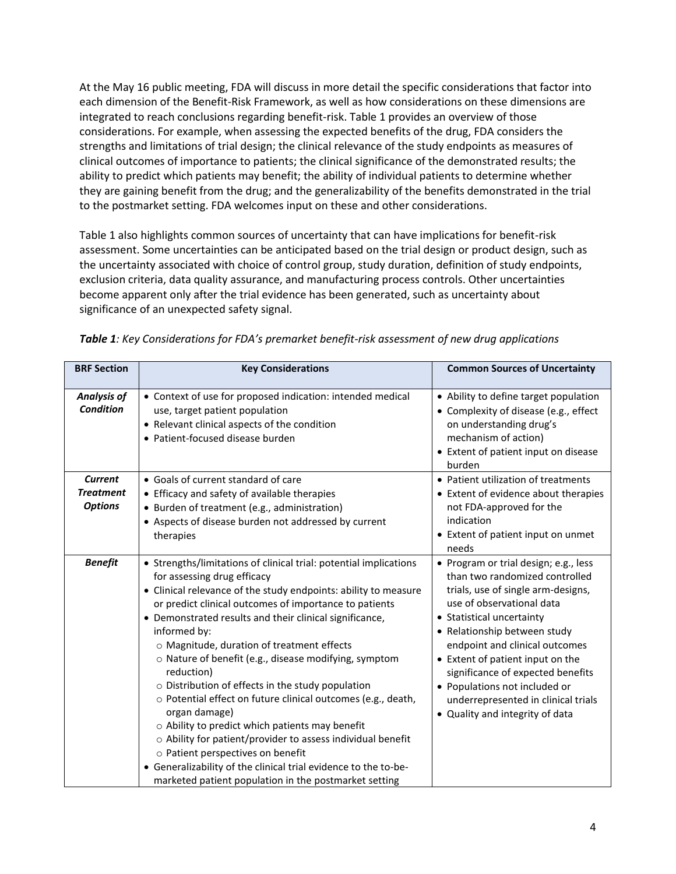At the May 16 public meeting, FDA will discuss in more detail the specific considerations that factor into each dimension of the Benefit-Risk Framework, as well as how considerations on these dimensions are integrated to reach conclusions regarding benefit-risk. Table 1 provides an overview of those considerations. For example, when assessing the expected benefits of the drug, FDA considers the strengths and limitations of trial design; the clinical relevance of the study endpoints as measures of clinical outcomes of importance to patients; the clinical significance of the demonstrated results; the ability to predict which patients may benefit; the ability of individual patients to determine whether they are gaining benefit from the drug; and the generalizability of the benefits demonstrated in the trial to the postmarket setting. FDA welcomes input on these and other considerations.

Table 1 also highlights common sources of uncertainty that can have implications for benefit-risk assessment. Some uncertainties can be anticipated based on the trial design or product design, such as the uncertainty associated with choice of control group, study duration, definition of study endpoints, exclusion criteria, data quality assurance, and manufacturing process controls. Other uncertainties become apparent only after the trial evidence has been generated, such as uncertainty about significance of an unexpected safety signal.

| <b>BRF Section</b>                                   | <b>Key Considerations</b>                                                                                                                                                                                                                                                                                                                                                                                                                                                                                                                                                                                                                                                                                                                                                                                                                              | <b>Common Sources of Uncertainty</b>                                                                                                                                                                                                                                                                                                                                                                                          |
|------------------------------------------------------|--------------------------------------------------------------------------------------------------------------------------------------------------------------------------------------------------------------------------------------------------------------------------------------------------------------------------------------------------------------------------------------------------------------------------------------------------------------------------------------------------------------------------------------------------------------------------------------------------------------------------------------------------------------------------------------------------------------------------------------------------------------------------------------------------------------------------------------------------------|-------------------------------------------------------------------------------------------------------------------------------------------------------------------------------------------------------------------------------------------------------------------------------------------------------------------------------------------------------------------------------------------------------------------------------|
| <b>Analysis of</b><br><b>Condition</b>               | • Context of use for proposed indication: intended medical<br>use, target patient population<br>• Relevant clinical aspects of the condition<br>• Patient-focused disease burden                                                                                                                                                                                                                                                                                                                                                                                                                                                                                                                                                                                                                                                                       | • Ability to define target population<br>• Complexity of disease (e.g., effect<br>on understanding drug's<br>mechanism of action)<br>• Extent of patient input on disease<br>burden                                                                                                                                                                                                                                           |
| <b>Current</b><br><b>Treatment</b><br><b>Options</b> | • Goals of current standard of care<br>• Efficacy and safety of available therapies<br>• Burden of treatment (e.g., administration)<br>• Aspects of disease burden not addressed by current<br>therapies                                                                                                                                                                                                                                                                                                                                                                                                                                                                                                                                                                                                                                               | • Patient utilization of treatments<br>• Extent of evidence about therapies<br>not FDA-approved for the<br>indication<br>• Extent of patient input on unmet<br>needs                                                                                                                                                                                                                                                          |
| <b>Benefit</b>                                       | • Strengths/limitations of clinical trial: potential implications<br>for assessing drug efficacy<br>• Clinical relevance of the study endpoints: ability to measure<br>or predict clinical outcomes of importance to patients<br>• Demonstrated results and their clinical significance,<br>informed by:<br>o Magnitude, duration of treatment effects<br>o Nature of benefit (e.g., disease modifying, symptom<br>reduction)<br>o Distribution of effects in the study population<br>o Potential effect on future clinical outcomes (e.g., death,<br>organ damage)<br>o Ability to predict which patients may benefit<br>o Ability for patient/provider to assess individual benefit<br>o Patient perspectives on benefit<br>• Generalizability of the clinical trial evidence to the to-be-<br>marketed patient population in the postmarket setting | • Program or trial design; e.g., less<br>than two randomized controlled<br>trials, use of single arm-designs,<br>use of observational data<br>• Statistical uncertainty<br>• Relationship between study<br>endpoint and clinical outcomes<br>• Extent of patient input on the<br>significance of expected benefits<br>• Populations not included or<br>underrepresented in clinical trials<br>• Quality and integrity of data |

|  |  |  |  |  |  | Table 1: Key Considerations for FDA's premarket benefit-risk assessment of new drug applications |
|--|--|--|--|--|--|--------------------------------------------------------------------------------------------------|
|--|--|--|--|--|--|--------------------------------------------------------------------------------------------------|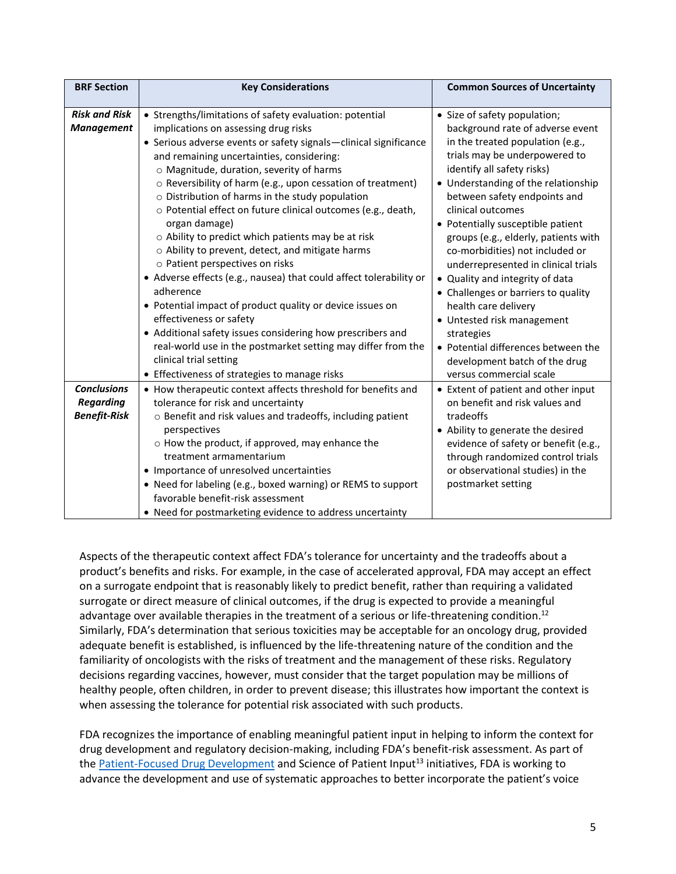| <b>BRF Section</b>                                            | <b>Key Considerations</b>                                                                                                                                                                                                                                                                                                                                                                                                                                                                                                                                                                                                                                                                                                                                                                                                                                                                                                                                                                        | <b>Common Sources of Uncertainty</b>                                                                                                                                                                                                                                                                                                                                                                                                                                                                                                                                                                                                                                    |
|---------------------------------------------------------------|--------------------------------------------------------------------------------------------------------------------------------------------------------------------------------------------------------------------------------------------------------------------------------------------------------------------------------------------------------------------------------------------------------------------------------------------------------------------------------------------------------------------------------------------------------------------------------------------------------------------------------------------------------------------------------------------------------------------------------------------------------------------------------------------------------------------------------------------------------------------------------------------------------------------------------------------------------------------------------------------------|-------------------------------------------------------------------------------------------------------------------------------------------------------------------------------------------------------------------------------------------------------------------------------------------------------------------------------------------------------------------------------------------------------------------------------------------------------------------------------------------------------------------------------------------------------------------------------------------------------------------------------------------------------------------------|
| <b>Risk and Risk</b><br><b>Management</b>                     | • Strengths/limitations of safety evaluation: potential<br>implications on assessing drug risks<br>• Serious adverse events or safety signals-clinical significance<br>and remaining uncertainties, considering:<br>o Magnitude, duration, severity of harms<br>o Reversibility of harm (e.g., upon cessation of treatment)<br>o Distribution of harms in the study population<br>o Potential effect on future clinical outcomes (e.g., death,<br>organ damage)<br>o Ability to predict which patients may be at risk<br>o Ability to prevent, detect, and mitigate harms<br>o Patient perspectives on risks<br>• Adverse effects (e.g., nausea) that could affect tolerability or<br>adherence<br>• Potential impact of product quality or device issues on<br>effectiveness or safety<br>• Additional safety issues considering how prescribers and<br>real-world use in the postmarket setting may differ from the<br>clinical trial setting<br>• Effectiveness of strategies to manage risks | • Size of safety population;<br>background rate of adverse event<br>in the treated population (e.g.,<br>trials may be underpowered to<br>identify all safety risks)<br>• Understanding of the relationship<br>between safety endpoints and<br>clinical outcomes<br>• Potentially susceptible patient<br>groups (e.g., elderly, patients with<br>co-morbidities) not included or<br>underrepresented in clinical trials<br>• Quality and integrity of data<br>• Challenges or barriers to quality<br>health care delivery<br>• Untested risk management<br>strategies<br>• Potential differences between the<br>development batch of the drug<br>versus commercial scale |
| <b>Conclusions</b><br><b>Regarding</b><br><b>Benefit-Risk</b> | • How therapeutic context affects threshold for benefits and<br>tolerance for risk and uncertainty<br>o Benefit and risk values and tradeoffs, including patient<br>perspectives<br>o How the product, if approved, may enhance the<br>treatment armamentarium<br>• Importance of unresolved uncertainties<br>• Need for labeling (e.g., boxed warning) or REMS to support<br>favorable benefit-risk assessment<br>• Need for postmarketing evidence to address uncertainty                                                                                                                                                                                                                                                                                                                                                                                                                                                                                                                      | • Extent of patient and other input<br>on benefit and risk values and<br>tradeoffs<br>• Ability to generate the desired<br>evidence of safety or benefit (e.g.,<br>through randomized control trials<br>or observational studies) in the<br>postmarket setting                                                                                                                                                                                                                                                                                                                                                                                                          |

Aspects of the therapeutic context affect FDA's tolerance for uncertainty and the tradeoffs about a product's benefits and risks. For example, in the case of accelerated approval, FDA may accept an effect on a surrogate endpoint that is reasonably likely to predict benefit, rather than requiring a validated surrogate or direct measure of clinical outcomes, if the drug is expected to provide a meaningful advantage over available therapies in the treatment of a serious or life-threatening condition.<sup>12</sup> Similarly, FDA's determination that serious toxicities may be acceptable for an oncology drug, provided adequate benefit is established, is influenced by the life-threatening nature of the condition and the familiarity of oncologists with the risks of treatment and the management of these risks. Regulatory decisions regarding vaccines, however, must consider that the target population may be millions of healthy people, often children, in order to prevent disease; this illustrates how important the context is when assessing the tolerance for potential risk associated with such products.

FDA recognizes the importance of enabling meaningful patient input in helping to inform the context for drug development and regulatory decision-making, including FDA's benefit-risk assessment. As part of th[e Patient-Focused Drug Development](https://www.fda.gov/Drugs/DevelopmentApprovalProcess/ucm579400.htm) and Science of Patient Input<sup>13</sup> initiatives, FDA is working to advance the development and use of systematic approaches to better incorporate the patient's voice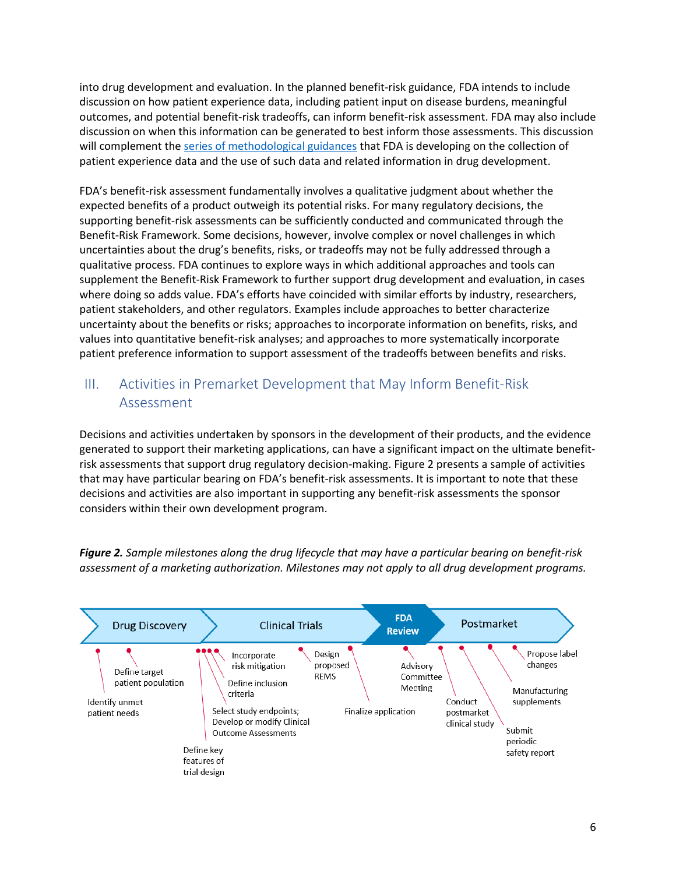into drug development and evaluation. In the planned benefit-risk guidance, FDA intends to include discussion on how patient experience data, including patient input on disease burdens, meaningful outcomes, and potential benefit-risk tradeoffs, can inform benefit-risk assessment. FDA may also include discussion on when this information can be generated to best inform those assessments. This discussion will complement th[e series of methodological guidances](https://www.fda.gov/Drugs/DevelopmentApprovalProcess/ucm610279.htm) that FDA is developing on the collection of patient experience data and the use of such data and related information in drug development.

FDA's benefit-risk assessment fundamentally involves a qualitative judgment about whether the expected benefits of a product outweigh its potential risks. For many regulatory decisions, the supporting benefit-risk assessments can be sufficiently conducted and communicated through the Benefit-Risk Framework. Some decisions, however, involve complex or novel challenges in which uncertainties about the drug's benefits, risks, or tradeoffs may not be fully addressed through a qualitative process. FDA continues to explore ways in which additional approaches and tools can supplement the Benefit-Risk Framework to further support drug development and evaluation, in cases where doing so adds value. FDA's efforts have coincided with similar efforts by industry, researchers, patient stakeholders, and other regulators. Examples include approaches to better characterize uncertainty about the benefits or risks; approaches to incorporate information on benefits, risks, and values into quantitative benefit-risk analyses; and approaches to more systematically incorporate patient preference information to support assessment of the tradeoffs between benefits and risks.

## III. Activities in Premarket Development that May Inform Benefit-Risk Assessment

Decisions and activities undertaken by sponsors in the development of their products, and the evidence generated to support their marketing applications, can have a significant impact on the ultimate benefitrisk assessments that support drug regulatory decision-making. Figure 2 presents a sample of activities that may have particular bearing on FDA's benefit-risk assessments. It is important to note that these decisions and activities are also important in supporting any benefit-risk assessments the sponsor considers within their own development program.



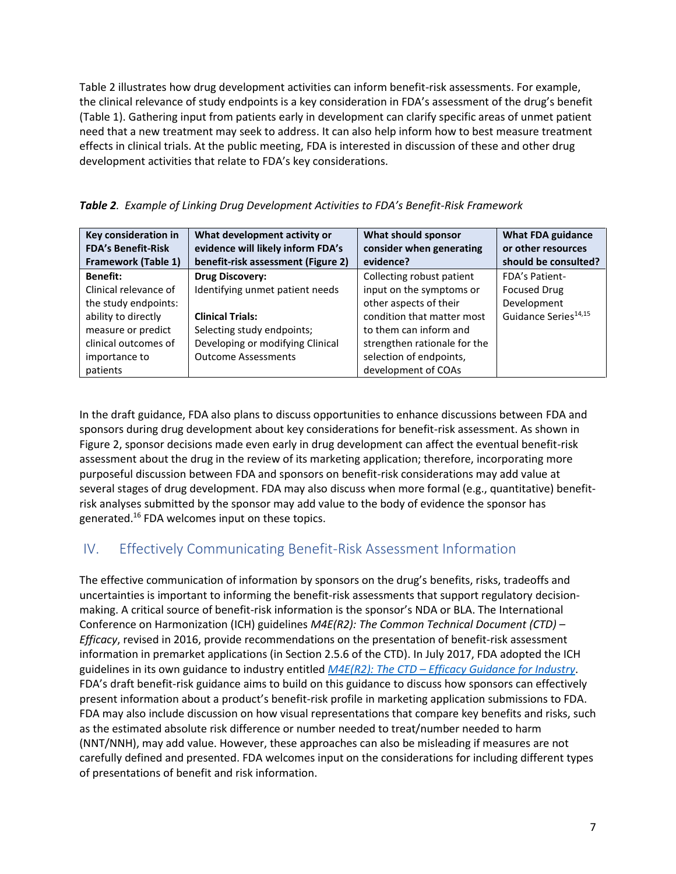Table 2 illustrates how drug development activities can inform benefit-risk assessments. For example, the clinical relevance of study endpoints is a key consideration in FDA's assessment of the drug's benefit (Table 1). Gathering input from patients early in development can clarify specific areas of unmet patient need that a new treatment may seek to address. It can also help inform how to best measure treatment effects in clinical trials. At the public meeting, FDA is interested in discussion of these and other drug development activities that relate to FDA's key considerations.

|  |  |  | <b>Table 2</b> . Example of Linking Drug Development Activities to FDA's Benefit-Risk Framework |
|--|--|--|-------------------------------------------------------------------------------------------------|
|--|--|--|-------------------------------------------------------------------------------------------------|

| Key consideration in       | What development activity or       | What should sponsor          | <b>What FDA guidance</b>         |
|----------------------------|------------------------------------|------------------------------|----------------------------------|
| <b>FDA's Benefit-Risk</b>  | evidence will likely inform FDA's  | consider when generating     | or other resources               |
| <b>Framework (Table 1)</b> | benefit-risk assessment (Figure 2) | evidence?                    | should be consulted?             |
| <b>Benefit:</b>            | <b>Drug Discovery:</b>             | Collecting robust patient    | <b>FDA's Patient-</b>            |
| Clinical relevance of      | Identifying unmet patient needs    | input on the symptoms or     | <b>Focused Drug</b>              |
| the study endpoints:       |                                    | other aspects of their       | Development                      |
| ability to directly        | <b>Clinical Trials:</b>            | condition that matter most   | Guidance Series <sup>14,15</sup> |
| measure or predict         | Selecting study endpoints;         | to them can inform and       |                                  |
| clinical outcomes of       | Developing or modifying Clinical   | strengthen rationale for the |                                  |
| importance to              | <b>Outcome Assessments</b>         | selection of endpoints,      |                                  |
| patients                   |                                    | development of COAs          |                                  |

In the draft guidance, FDA also plans to discuss opportunities to enhance discussions between FDA and sponsors during drug development about key considerations for benefit-risk assessment. As shown in Figure 2, sponsor decisions made even early in drug development can affect the eventual benefit-risk assessment about the drug in the review of its marketing application; therefore, incorporating more purposeful discussion between FDA and sponsors on benefit-risk considerations may add value at several stages of drug development. FDA may also discuss when more formal (e.g., quantitative) benefitrisk analyses submitted by the sponsor may add value to the body of evidence the sponsor has generated.<sup>16</sup> FDA welcomes input on these topics.

### IV. Effectively Communicating Benefit-Risk Assessment Information

The effective communication of information by sponsors on the drug's benefits, risks, tradeoffs and uncertainties is important to informing the benefit-risk assessments that support regulatory decisionmaking. A critical source of benefit-risk information is the sponsor's NDA or BLA. The International Conference on Harmonization (ICH) guidelines *M4E(R2): The Common Technical Document (CTD) – Efficacy*, revised in 2016, provide recommendations on the presentation of benefit-risk assessment information in premarket applications (in Section 2.5.6 of the CTD). In July 2017, FDA adopted the ICH guidelines in its own guidance to industry entitled *M4E(R2): The CTD – [Efficacy Guidance for Industry](https://www.fda.gov/downloads/Drugs/GuidanceComplianceRegulatoryInformation/Guidances/UCM465221.pdf)*. FDA's draft benefit-risk guidance aims to build on this guidance to discuss how sponsors can effectively present information about a product's benefit-risk profile in marketing application submissions to FDA. FDA may also include discussion on how visual representations that compare key benefits and risks, such as the estimated absolute risk difference or number needed to treat/number needed to harm (NNT/NNH), may add value. However, these approaches can also be misleading if measures are not carefully defined and presented. FDA welcomes input on the considerations for including different types of presentations of benefit and risk information.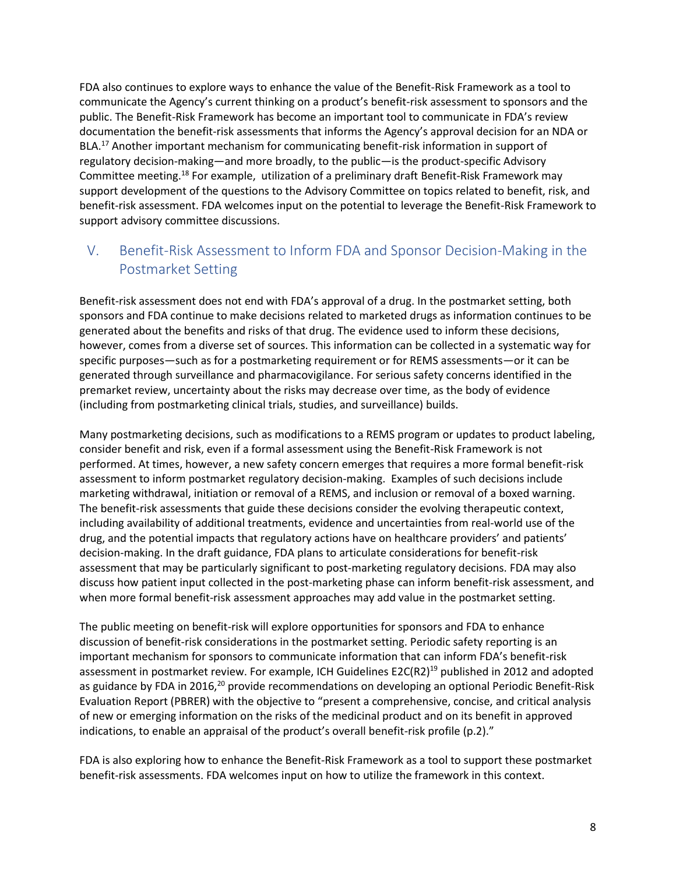FDA also continues to explore ways to enhance the value of the Benefit-Risk Framework as a tool to communicate the Agency's current thinking on a product's benefit-risk assessment to sponsors and the public. The Benefit-Risk Framework has become an important tool to communicate in FDA's review documentation the benefit-risk assessments that informs the Agency's approval decision for an NDA or BLA.<sup>17</sup> Another important mechanism for communicating benefit-risk information in support of regulatory decision-making—and more broadly, to the public—is the product-specific Advisory Committee meeting.<sup>18</sup> For example, utilization of a preliminary draft Benefit-Risk Framework may support development of the questions to the Advisory Committee on topics related to benefit, risk, and benefit-risk assessment. FDA welcomes input on the potential to leverage the Benefit-Risk Framework to support advisory committee discussions.

# V. Benefit-Risk Assessment to Inform FDA and Sponsor Decision-Making in the Postmarket Setting

Benefit-risk assessment does not end with FDA's approval of a drug. In the postmarket setting, both sponsors and FDA continue to make decisions related to marketed drugs as information continues to be generated about the benefits and risks of that drug. The evidence used to inform these decisions, however, comes from a diverse set of sources. This information can be collected in a systematic way for specific purposes—such as for a postmarketing requirement or for REMS assessments—or it can be generated through surveillance and pharmacovigilance. For serious safety concerns identified in the premarket review, uncertainty about the risks may decrease over time, as the body of evidence (including from postmarketing clinical trials, studies, and surveillance) builds.

Many postmarketing decisions, such as modifications to a REMS program or updates to product labeling, consider benefit and risk, even if a formal assessment using the Benefit-Risk Framework is not performed. At times, however, a new safety concern emerges that requires a more formal benefit-risk assessment to inform postmarket regulatory decision-making. Examples of such decisions include marketing withdrawal, initiation or removal of a REMS, and inclusion or removal of a boxed warning. The benefit-risk assessments that guide these decisions consider the evolving therapeutic context, including availability of additional treatments, evidence and uncertainties from real-world use of the drug, and the potential impacts that regulatory actions have on healthcare providers' and patients' decision-making. In the draft guidance, FDA plans to articulate considerations for benefit-risk assessment that may be particularly significant to post-marketing regulatory decisions. FDA may also discuss how patient input collected in the post-marketing phase can inform benefit-risk assessment, and when more formal benefit-risk assessment approaches may add value in the postmarket setting.

The public meeting on benefit-risk will explore opportunities for sponsors and FDA to enhance discussion of benefit-risk considerations in the postmarket setting. Periodic safety reporting is an important mechanism for sponsors to communicate information that can inform FDA's benefit-risk assessment in postmarket review. For example, ICH Guidelines E2C(R2)<sup>19</sup> published in 2012 and adopted as guidance by FDA in 2016,<sup>20</sup> provide recommendations on developing an optional Periodic Benefit-Risk Evaluation Report (PBRER) with the objective to "present a comprehensive, concise, and critical analysis of new or emerging information on the risks of the medicinal product and on its benefit in approved indications, to enable an appraisal of the product's overall benefit-risk profile (p.2)."

FDA is also exploring how to enhance the Benefit-Risk Framework as a tool to support these postmarket benefit-risk assessments. FDA welcomes input on how to utilize the framework in this context.